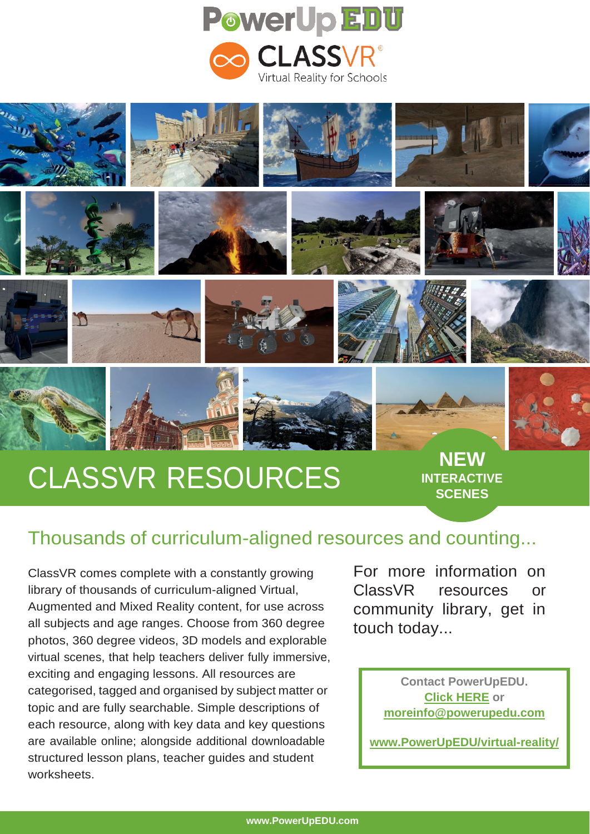



























# **CLASSVR RESOURCES** NEW

**INTERACTIVE SCENES**

# Thousands of curriculum-aligned resources and counting...

ClassVR comes complete with a constantly growing library of thousands of curriculum-aligned Virtual, Augmented and Mixed Reality content, for use across all subjects and age ranges. Choose from 360 degree photos, 360 degree videos, 3D models and explorable virtual scenes, that help teachers deliver fully immersive, exciting and engaging lessons. All resources are categorised, tagged and organised by subject matter or topic and are fully searchable. Simple descriptions of each resource, along with key data and key questions are available online; alongside additional downloadable structured lesson plans, teacher guides and student worksheets.

For more information on ClassVR resources or community library, get in touch today...

> **Contact PowerUpEDU. [Click HERE](https://powerupedu.com/contact-us/) or [moreinfo@powerupedu.com](mailto:moreinfo@powerupedu.com)**

**[www.PowerUpEDU/virtual-reality/](http://www.powerupedu/virtual-reality/)**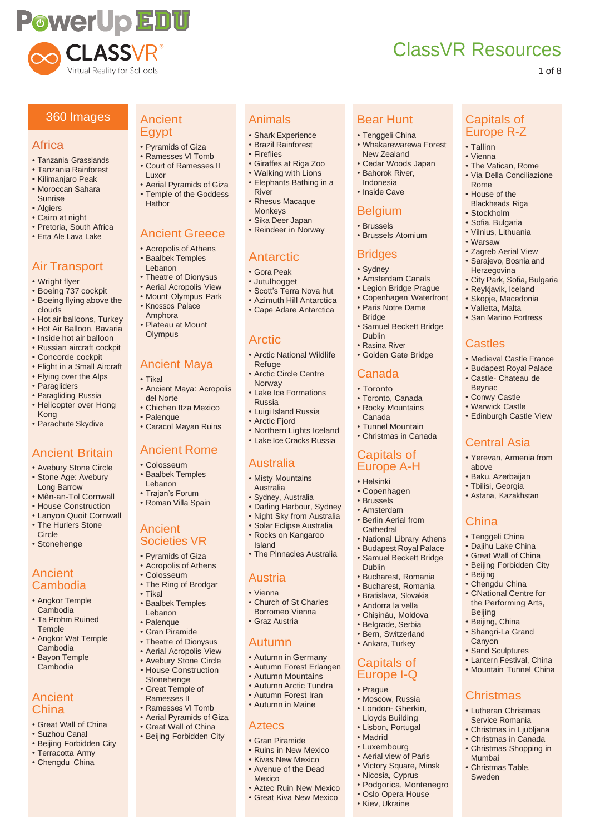

Capitals of Europe R-Z

• The Vatican, Rome • Via Della Conciliazione

• Zagreb Aerial View • Sarajevo, Bosnia and **Herzegovina** 

**Castles** 

Beynac • Conwy Castle • Warwick Castle • Edinburgh Castle View

above • Baku, Azerbaijan • Tbilisi, Georgia • Astana, Kazakhstan

**China** • Tenggeli China • Dajihu Lake China • Great Wall of China • Beijing Forbidden City

• Beijing • Chengdu China • CNational Centre for the Performing Arts,

Beijing • Beijing, China • Shangri-La Grand **Canyon** • Sand Sculptures • Lantern Festival, China • Mountain Tunnel China

**Christmas** • Lutheran Christmas Service Romania • Christmas in Ljubljana • Christmas in Canada • Christmas Shopping in

Mumbai • Christmas Table, Sweden

Central Asia • Yerevan, Armenia from

• City Park, Sofia, Bulgaria • Reykjavik, Iceland • Skopje, Macedonia • Valletta, Malta • San Marino Fortress

• Medieval Castle France • Budapest Royal Palace • Castle- Chateau de

• Tallinn • Vienna

Bear Hunt • Tenggeli China • Whakarewarewa Forest New Zealand • Cedar Woods Japan • Bahorok River, Indonesia • Inside Cave

Belgium • Brussels • Brussels Atomium

Bridges • Sydney

**Bridge** 

Dublin • Rasina River • Golden Gate Bridge

Canada • Toronto • Toronto, Canada • Rocky Mountains Canada • Tunnel Mountain • Christmas in Canada

Capitals of Europe A-H

• National Library Athens • Budapest Royal Palace • Samuel Beckett Bridge

• Bucharest, Romania • Bucharest, Romania • Bratislava, Slovakia • Andorra la vella • Chișinău, Moldova • Belgrade, Serbia • Bern, Switzerland • Ankara, Turkey

Capitals of Europe I-Q • Prague • Moscow, Russia • London- Gherkin, Lloyds Building • Lisbon, Portugal • Madrid • Luxembourg • Aerial view of Paris • Victory Square, Minsk • Nicosia, Cyprus • Podgorica, Montenegro • Oslo Opera House • Kiev, Ukraine

• Helsinki • Copenhagen • Brussels • Amsterdam • Berlin Aerial from **Cathedral** 

Dublin

• Amsterdam Canals • Legion Bridge Prague • Copenhagen Waterfront • Paris Notre Dame

• Samuel Beckett Bridge

Rome • House of the Blackheads Riga • Stockholm • Sofia, Bulgaria • Vilnius, Lithuania • Warsaw

#### 1 of 8

#### 360 Images

#### Africa

- Tanzania Grasslands
- Tanzania Rainforest
- Kilimanjaro Peak • Moroccan Sahara
- Sunrise • Algiers
- Cairo at night
- Pretoria, South Africa
- Erta Ale Lava Lake

### Air Transport

- Wright flyer
- Boeing 737 cockpit • Boeing flying above the clouds
- Hot air balloons, Turkey
- Hot Air Balloon, Bavaria
- Inside hot air balloon
- Russian aircraft cockpit
- Concorde cockpit
- Flight in a Small Aircraft
- Flying over the Alps
- Paragliders
- Paragliding Russia
- Helicopter over Hong Kong
- Parachute Skydive

### Ancient Britain

- Avebury Stone Circle
- Stone Age: Avebury Long Barrow
- Mên-an-Tol Cornwall
- House Construction
- Lanyon Quoit Cornwall
- The Hurlers Stone **Circle**
- Stonehenge

#### Ancient Cambodia

- Angkor Temple Cambodia
- Ta Prohm Ruined **Temple**
- Angkor Wat Temple Cambodia
- Bayon Temple Cambodia

#### **Ancient** China

- Great Wall of China
- Suzhou Canal
- Beijing Forbidden City
- Terracotta Army • Chengdu China

#### Ancient Egypt

- Pyramids of Giza
- Ramesses VI Tomb • Court of Ramesses II
- Luxor
- Aerial Pyramids of Giza • Temple of the Goddess
- **Hathor**

### Ancient Greece

- Acropolis of Athens • Baalbek Temples
- Lebanon
- Theatre of Dionysus
- Aerial Acropolis View • Mount Olympus Park
- Knossos Palace
- Amphora
- Plateau at Mount **Olympus**

#### Ancient Maya

- Tikal
- Ancient Maya: Acropolis del Norte
- Chichen Itza Mexico
- Palenque
- Caracol Mayan Ruins

#### Ancient Rome

- Colosseum • Baalbek Temples
- Lebanon • Trajan's Forum
- Roman Villa Spain

#### Ancient Societies VR

- Pyramids of Giza
- Acropolis of Athens
- Colosseum
- The Ring of Brodgar
- Tikal
- Baalbek Temples Lebanon
- Palenque • Gran Piramide
- 
- Theatre of Dionysus • Aerial Acropolis View
- Avebury Stone Circle
- House Construction
- Stonehenge • Great Temple of
- Ramesses II
- Ramesses VI Tomb
- Aerial Pyramids of Giza • Great Wall of China
- Beijing Forbidden City
	-

#### • Gran Piramide • Ruins in New Mexico

- Kivas New Mexico • Avenue of the Dead
- Mexico

Aztecs

- Aztec Ruin New Mexico
- Great Kiva New Mexico

#### Animals

- Shark Experience
- Brazil Rainforest
- Fireflies
- Giraffes at Riga Zoo • Walking with Lions
- Elephants Bathing in a River

• Scott's Terra Nova hut • Azimuth Hill Antarctica • Cape Adare Antarctica

• Arctic National Wildlife

• Arctic Circle Centre

• Lake Ice Formations

• Luigi Island Russia • Arctic Fjord

• Northern Lights Iceland • Lake Ice Cracks Russia

• The Pinnacles Australia

• Church of St Charles Borromeo Vienna • Graz Austria

• Autumn in Germany • Autumn Forest Erlangen • Autumn Mountains • Autumn Arctic Tundra • Autumn Forest Iran • Autumn in Maine

- Rhesus Macaque
- Monkeys

**Antarctic** • Gora Peak • Jutulhogget

**Arctic** 

Refuge

Norway

Russia

Australia • Misty Mountains Australia • Sydney, Australia • Darling Harbour, Sydney • Night Sky from Australia • Solar Eclipse Australia • Rocks on Kangaroo

Island

Austria • Vienna

Autumn

• Sika Deer Japan • Reindeer in Norway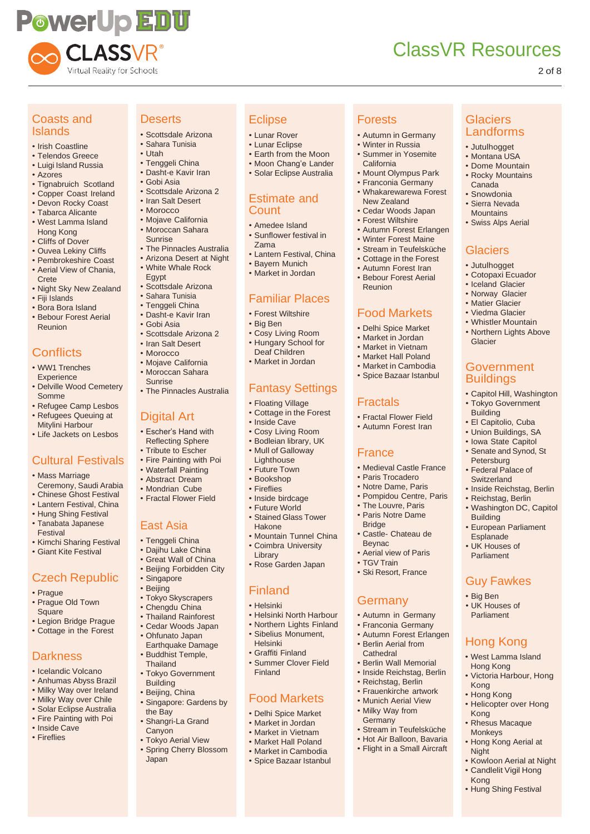

**Glaciers** Landforms • Jutulhogget • Montana USA • Dome Mountain • Rocky Mountains Canada • Snowdonia • Sierra Nevada **Mountains** • Swiss Alps Aerial

**Glaciers** • Jutulhogget • Cotopaxi Ecuador • Iceland Glacier • Norway Glacier • Matier Glacier • Viedma Glacier • Whistler Mountain • Northern Lights Above

Glacier

Government **Buildings** 

• Capitol Hill, Washington • Tokyo Government Building • El Capitolio, Cuba • Union Buildings, SA • Iowa State Capitol • Senate and Synod, St Petersburg • Federal Palace of **Switzerland** 

• Inside Reichstag, Berlin • Reichstag, Berlin • Washington DC, Capitol

• European Parliament **Esplanade** • UK Houses of Parliament

Guy Fawkes

Hong Kong • West Lamma Island Hong Kong

• Victoria Harbour, Hong

• Helicopter over Hong

• Rhesus Macaque Monkeys

• Hong Kong Aerial at

• Hung Shing Festival

• Kowloon Aerial at Night • Candlelit Vigil Hong

Building

• Big Ben • UK Houses of Parliament

Kong • Hong Kong

Kong

Night

Kong

#### 2 of 8

#### Coasts and Islands

- Irish Coastline
- Telendos Greece
- Luigi Island Russia
- Azores
- Tignabruich Scotland
- Copper Coast Ireland • Devon Rocky Coast
- Tabarca Alicante
- West Lamma Island Hong Kong
- Cliffs of Dover
- Ouvea Lekiny Cliffs
- Pembrokeshire Coast • Aerial View of Chania,
- **Crete**
- Night Sky New Zealand
- Fiji Islands
- Bora Bora Island • Bebour Forest Aerial
- Reunion

# **Conflicts**

- WW1 Trenches **Experience**
- Delville Wood Cemetery Somme
- Refugee Camp Lesbos
- Refugees Queuing at Mitylini Harbour
- Life Jackets on Lesbos

# Cultural Festivals

- Mass Marriage Ceremony, Saudi Arabia
- Chinese Ghost Festival
- Lantern Festival, China
- Hung Shing Festival
- Tanabata Japanese
- Festival
- Kimchi Sharing Festival • Giant Kite Festival
- Czech Republic
- Prague
- Prague Old Town **Square**
- Legion Bridge Prague
- Cottage in the Forest

### **Darkness**

- Icelandic Volcano
- Anhumas Abyss Brazil
- Milky Way over Ireland
- Milky Way over Chile
- Solar Eclipse Australia
- Fire Painting with Poi • Inside Cave
- Fireflies

# **Deserts**

- Scottsdale Arizona • Sahara Tunisia
- Utah
- Tenggeli China
	- Dasht-e Kavir Iran
		- Gobi Asia
		- Scottsdale Arizona 2
		- Iran Salt Desert
		- Morocco
		- Mojave California • Moroccan Sahara Sunrise
		- The Pinnacles Australia
		- Arizona Desert at Night
		- White Whale Rock
		- Egypt
		- Scottsdale Arizona
		- Sahara Tunisia
		- Tenggeli China
		- Dasht-e Kavir Iran • Gobi Asia
		-
		- Scottsdale Arizona 2 • Iran Salt Desert
		- Morocco
		- Mojave California
		- Moroccan Sahara Sunrise
		- The Pinnacles Australia

#### Digital Art

- Escher's Hand with Reflecting Sphere
- Tribute to Escher
- Fire Painting with Poi
- Waterfall Painting
- Abstract Dream
- Mondrian Cube
- Fractal Flower Field

#### East Asia

- Tenggeli China
- Dajihu Lake China
- Great Wall of China
- Beijing Forbidden City • Singapore
- Beijing
- Tokyo Skyscrapers
- Chengdu China
- Thailand Rainforest
- Cedar Woods Japan
- Ohfunato Japan
- Earthquake Damage • Buddhist Temple,
- **Thailand** • Tokyo Government
- Building • Beijing, China
- Singapore: Gardens by the Bay
- Shangri-La Grand
- **Canyon**
- Tokyo Aerial View • Spring Cherry Blossom Japan

#### **Eclipse**

**Count** • Amedee Island • Sunflower festival in

Zama

- Lunar Rover
- Lunar Eclipse • Earth from the Moon

• Moon Chang'e Lander • Solar Eclipse Australia

• Lantern Festival, China • Bayern Munich • Market in Jordan

Familiar Places • Forest Wiltshire • Big Ben

• Cosy Living Room • Hungary School for Deaf Children • Market in Jordan

Fantasy Settings

• Floating Village • Cottage in the Forest

• Inside Cave • Cosy Living Room • Bodleian library, UK Mull of Galloway **Lighthouse** • Future Town • Bookshop • Fireflies • Inside birdcage • Future World • Stained Glass Tower

Hakone

Library

Finland • Helsinki

Helsinki • Graffiti Finland • Summer Clover Field

Finland

• Mountain Tunnel China • Coimbra University

• Helsinki North Harbour • Northern Lights Finland Sibelius Monument,

Food Markets • Delhi Spice Market • Market in Jordan • Market in Vietnam • Market Hall Poland • Market in Cambodia • Spice Bazaar Istanbul

• Rose Garden Japan

Estimate and

Forests

Reunion

Fractals

France

**Bridge** 

Beynac

**Germany** 

• Fractal Flower Field • Autumn Forest Iran

• Medieval Castle France • Paris Trocadero • Notre Dame, Paris • Pompidou Centre, Paris • The Louvre, Paris • Paris Notre Dame

• Castle- Chateau de

• Aerial view of Paris • TGV Train • Ski Resort, France

• Autumn in Germany • Franconia Germany • Autumn Forest Erlangen • Berlin Aerial from **Cathedral** • Berlin Wall Memorial • Inside Reichstag, Berlin • Reichstag, Berlin • Frauenkirche artwork • Munich Aerial View • Milky Way from **Germany** 

• Stream in Teufelsküche • Hot Air Balloon, Bavaria • Flight in a Small Aircraft

Food Markets • Delhi Spice Market • Market in Jordan • Market in Vietnam • Market Hall Poland • Market in Cambodia • Spice Bazaar Istanbul

• Autumn in Germany • Winter in Russia • Summer in Yosemite California

• Mount Olympus Park • Franconia Germany • Whakarewarewa Forest New Zealand • Cedar Woods Japan • Forest Wiltshire • Autumn Forest Erlangen • Winter Forest Maine • Stream in Teufelsküche • Cottage in the Forest • Autumn Forest Iran • Bebour Forest Aerial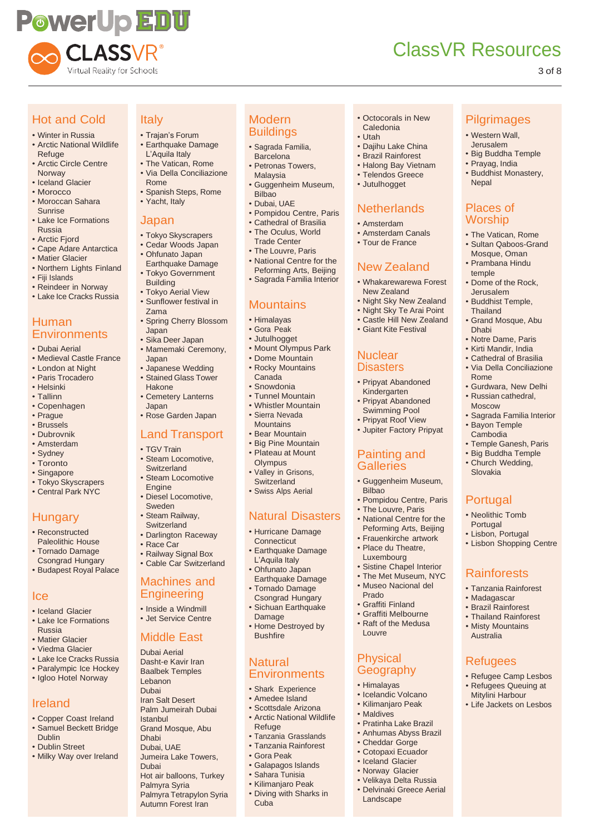

Italy

Rome

Japan

Building • Tokyo Aerial View • Sunflower festival in

Zama

Japan • Sika Deer Japan • Mamemaki Ceremony,

Japan

Hakone

Japan

• TGV Train • Steam Locomotive, **Switzerland** • Steam Locomotive

**Engine** 

• Race Car

• Yacht, Italy

• Trajan's Forum

L'Aquila Italy • The Vatican, Rome • Via Della Conciliazione

• Spanish Steps, Rome

• Tokyo Skyscrapers • Cedar Woods Japan • Ohfunato Japan Earthquake Damage • Tokyo Government

• Spring Cherry Blossom

• Japanese Wedding • Stained Glass Tower

• Cemetery Lanterns

• Rose Garden Japan Land Transport

• Diesel Locomotive, Sweden • Steam Railway, **Switzerland** • Darlington Raceway

• Railway Signal Box • Cable Car Switzerland Machines and **Engineering** • Inside a Windmill • Jet Service Centre

Middle East Dubai Aerial Dasht-e Kavir Iran Baalbek Temples Lebanon Dubai Iran Salt Desert Palm Jumeirah Dubai

Grand Mosque, Abu

Jumeira Lake Towers,

Hot air balloons, Turkey

Palmyra Tetrapylon Syria Autumn Forest Iran

Palmyra Syria

Istanbul

Dhabi Dubai, UAE

Dubai

# ClassVR Resources

**Nepal** 

Places of Worship • The Vatican, Rome • Sultan Qaboos-Grand Mosque, Oman • Prambana Hindu temple

• Dome of the Rock, Jerusalem • Buddhist Temple, **Thailand** 

• Grand Mosque, Abu

• Notre Dame, Paris • Kirti Mandir, India • Cathedral of Brasilia • Via Della Conciliazione

• Gurdwara, New Delhi • Russian cathedral, Moscow

• Sagrada Familia Interior

• Temple Ganesh, Paris • Big Buddha Temple • Church Wedding, Slovakia

• Bayon Temple Cambodia

Portugal • Neolithic Tomb Portugal • Lisbon, Portugal • Lisbon Shopping Centre

**Rainforests** • Tanzania Rainforest • Madagascar • Brazil Rainforest • Thailand Rainforest • Misty Mountains Australia

Refugees

• Refugee Camp Lesbos • Refugees Queuing at Mitylini Harbour • Life Jackets on Lesbos

Dhabi

Rome

**Pilgrimages** • Western Wall, Jerusalem • Big Buddha Temple • Prayag, India • Buddhist Monastery,

#### 3 of 8

# Hot and Cold

- Winter in Russia • Arctic National Wildlife Refuge
- Arctic Circle Centre Norway
- Iceland Glacier
- Morocco
- Moroccan Sahara Sunrise
- Lake Ice Formations Russia
- Arctic Fiord
- Cape Adare Antarctica
- Matier Glacier
- Northern Lights Finland
- Fiji Islands
- Reindeer in Norway • Lake Ice Cracks Russia

### Human **Environments**

- Dubai Aerial
- Medieval Castle France
- London at Night
- Paris Trocadero
- Helsinki
- Tallinn
- Copenhagen
- Prague
- Brussels
- Dubrovnik
- Amsterdam
- Sydney • Toronto
- 
- Singapore • Tokyo Skyscrapers
- Central Park NYC

# **Hungary**

- Reconstructed Paleolithic House • Tornado Damage
- Csongrad Hungary • Budapest Royal Palace

#### Ice

- Iceland Glacier
- Lake Ice Formations
- Russia
- Matier Glacier
- Viedma Glacier
- Lake Ice Cracks Russia • Paralympic Ice Hockey
- Igloo Hotel Norway

# Ireland

- Copper Coast Ireland
- Samuel Beckett Bridge
- Dublin
- Dublin Street
- Milky Way over Ireland

#### Modern **Buildings**

- Sagrada Familia, **Barcelona** • Earthquake Damage
	- Petronas Towers, Malaysia
	- Guggenheim Museum, Bilbao
	- Dubai, UAE
	- Pompidou Centre, Paris • Cathedral of Brasilia
	- The Oculus, World
	- Trade Center
	- The Louvre, Paris
	- National Centre for the Peforming Arts, Beijing
	- Sagrada Familia Interior

#### Mountains

- Himalayas
- Gora Peak
- Jutulhogget
- Mount Olympus Park
- Dome Mountain
- Rocky Mountains
- Canada • Snowdonia
- Tunnel Mountain
- Whistler Mountain
- Sierra Nevada
- **Mountains**
- **Bear Mountain**
- Big Pine Mountain • Plateau at Mount
- **Olympus** Valley in Grisons.
- **Switzerland** • Swiss Alps Aerial
- 

# Natural Disasters

- Hurricane Damage **Connecticut**
- Earthquake Damage L'Aquila Italy
- Ohfunato Japan Earthquake Damage
- Tornado Damage Csongrad Hungary
- Sichuan Earthquake Damage
- Home Destroyed by Bushfire

#### **Natural Environments**

- Shark Experience
- Amedee Island
- Scottsdale Arizona
- Arctic National Wildlife Refuge
- Tanzania Grasslands • Tanzania Rainforest
- Gora Peak
- Galapagos Islands
- Sahara Tunisia
- 
- Kilimanjaro Peak • Diving with Sharks in Cuba
- Octocorals in New Caledonia
- Utah
- Dajihu Lake China

**Netherlands** • Amsterdam • Amsterdam Canals • Tour de France

New Zealand • Whakarewarewa Forest New Zealand • Night Sky New Zealand • Night Sky Te Arai Point • Castle Hill New Zealand • Giant Kite Festival

**Nuclear Disasters** 

• Pripyat Abandoned Kindergarten • Pripyat Abandoned Swimming Pool • Pripyat Roof View • Jupiter Factory Pripyat

Painting and Galleries

**Bilbao** 

Prado • Graffiti Finland • Graffiti Melbourne • Raft of the Medusa

Louvre

Physical **Geography** • Himalayas • Icelandic Volcano • Kilimanjaro Peak • Maldives

• Pratinha Lake Brazil • Anhumas Abyss Brazil • Cheddar Gorge • Cotopaxi Ecuador • Iceland Glacier • Norway Glacier • Velikaya Delta Russia • Delvinaki Greece Aerial

Landscape

• Guggenheim Museum,

• Pompidou Centre, Paris • The Louvre, Paris • National Centre for the Peforming Arts, Beijing • Frauenkirche artwork • Place du Theatre, Luxembourg • Sistine Chapel Interior • The Met Museum, NYC • Museo Nacional del

• Jutulhogget

- Brazil Rainforest • Halong Bay Vietnam
- Telendos Greece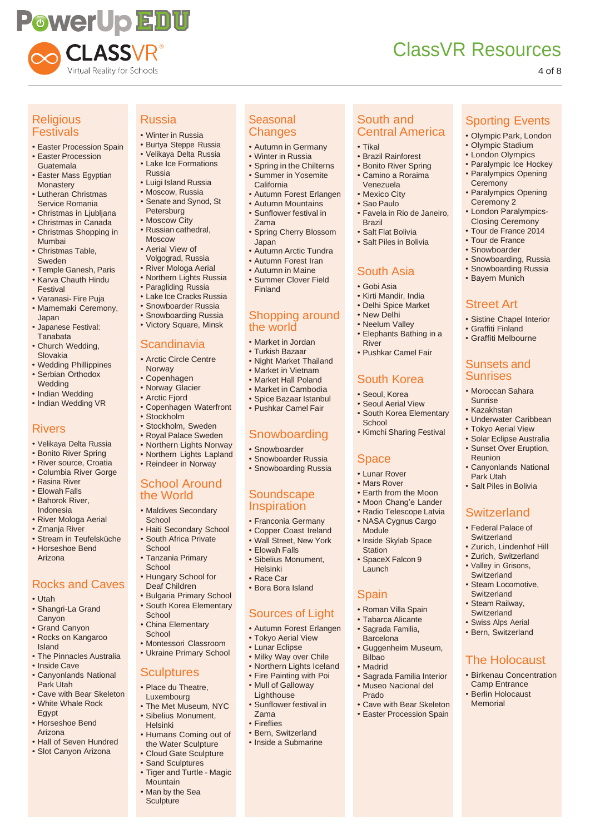# **PowerUp EDU** CLASSVR® Virtual Reality for Schools

# ClassVR Resources

Sporting Events • Olympic Park, London • Olympic Stadium • London Olympics • Paralympic Ice Hockey • Paralympics Opening **Ceremony** 

• Paralympics Opening Ceremony 2 • London Paralympics-Closing Ceremony • Tour de France 2014 • Tour de France • Snowboarder • Snowboarding, Russia • Snowboarding Russia • Bayern Munich

Street Art

• Sistine Chapel Interior • Graffiti Finland • Graffiti Melbourne

Sunsets and Sunrises • Moroccan Sahara Sunrise • Kazakhstan

• Underwater Caribbean • Tokyo Aerial View • Solar Eclipse Australia • Sunset Over Eruption,

• Canyonlands National

Reunion

Park Utah • Salt Piles in Bolivia

**Switzerland** • Federal Palace of **Switzerland** • Zurich, Lindenhof Hill • Zurich, Switzerland • Valley in Grisons, **Switzerland** • Steam Locomotive, **Switzerland** • Steam Railway, Switzerland • Swiss Alps Aerial • Bern, Switzerland

The Holocaust • Birkenau Concentration Camp Entrance • Berlin Holocaust Memorial

4 of 8

### **Religious Festivals**

- Easter Procession Spain
- Easter Procession Guatemala • Easter Mass Egyptian
- **Monastery** • Lutheran Christmas
- Service Romania
- Christmas in Ljubljana • Christmas in Canada
- Christmas Shopping in Mumbai
- Christmas Table, Sweden
- Temple Ganesh, Paris • Karva Chauth Hindu Festival
- Varanasi- Fire Puja
- Mamemaki Ceremony, Japan
- Japanese Festival: **Tanabata**
- Church Wedding, Slovakia
- Wedding Phillippines • Serbian Orthodox
- Wedding
- Indian Wedding • Indian Wedding VR

# Rivers

- Velikaya Delta Russia
- Bonito River Spring
- River source, Croatia
- Columbia River Gorge • Rasina River
- Elowah Falls
- Bahorok River, Indonesia
- River Mologa Aerial
- Zmanja River
- Stream in Teufelsküche

• Horseshoe Bend Arizona

# Rocks and Caves

- Utah
- Shangri-La Grand **Canvon**
- Grand Canyon
- Rocks on Kangaroo
- Island • The Pinnacles Australia
- Inside Cave
- Canyonlands National Park Utah
- Cave with Bear Skeleton • White Whale Rock Egypt
- Horseshoe Bend Arizona
- Hall of Seven Hundred
- Slot Canyon Arizona

# Russia

- Winter in Russia
- Burtya Steppe Russia • Velikaya Delta Russia
- Lake Ice Formations
- Russia
- Luigi Island Russia • Moscow, Russia
- Senate and Synod, St Petersburg
- Moscow City
- Russian cathedral, Moscow
- Aerial View of Volgograd, Russia
- River Mologa Aerial
- Northern Lights Russia
- Paragliding Russia
- Lake Ice Cracks Russia
- Snowboarder Russia
- Snowboarding Russia
- Victory Square, Minsk

# Scandinavia

- Arctic Circle Centre Norway
- Copenhagen
- Norway Glacier
- Arctic Fjord
- Copenhagen Waterfront
- Stockholm
- Stockholm, Sweden
- Royal Palace Sweden
- Northern Lights Norway • Northern Lights Lapland
- Reindeer in Norway
	-

#### School Around the World

- Maldives Secondary **School**
- Haiti Secondary School • South Africa Private **School**
- Tanzania Primary **School**
- Hungary School for Deaf Children
- Bulgaria Primary School • South Korea Elementary **School**
- China Elementary **School**
- Montessori Classroom
- Ukraine Primary School

#### **Sculptures**

- Place du Theatre,
- Luxembourg • The Met Museum, NYC • Sibelius Monument,
- Helsinki
- Humans Coming out of the Water Sculpture
- Cloud Gate Sculpture
- Sand Sculptures
- Tiger and Turtle Magic **Mountain**
- Man by the Sea **Sculpture**

#### **Seasonal Changes**

• Autumn in Germany

South and Central America

• Brazil Rainforest • Bonito River Spring • Camino a Roraima Venezuela • Mexico City • Sao Paulo

• Favela in Rio de Janeiro,

• Tikal

Brazil • Salt Flat Bolivia • Salt Piles in Bolivia

River

**School** 

Space • Lunar Rover • Mars Rover • Earth from the Moon • Moon Chang'e Lander • Radio Telescope Latvia • NASA Cygnus Cargo

Module

**Station** SpaceX Falcon 9 Launch

**Spain** 

Bilbao • Madrid

Prado

• Inside Skylab Space

• Roman Villa Spain • Tabarca Alicante • Sagrada Familia, Barcelona

• Guggenheim Museum,

• Sagrada Familia Interior • Museo Nacional del

• Cave with Bear Skeleton • Easter Procession Spain

South Asia • Gobi Asia • Kirti Mandir, India • Delhi Spice Market • New Delhi • Neelum Valley • Elephants Bathing in a

• Pushkar Camel Fair

South Korea • Seoul, Korea • Seoul Aerial View • South Korea Elementary

• Kimchi Sharing Festival

- Winter in Russia
- Spring in the Chilterns • Summer in Yosemite California
- Autumn Forest Erlangen
- Autumn Mountains
- Sunflower festival in Zama
- Spring Cherry Blossom Japan
- Autumn Arctic Tundra
- Autumn Forest Iran
- Autumn in Maine

the world • Market in Jordan • Turkish Bazaar • Night Market Thailand Market in Vietnam • Market Hall Poland • Market in Cambodia • Spice Bazaar Istanbul • Pushkar Camel Fair

Summer Clover Field Finland

Shopping around

Snowboarding • Snowboarder • Snowboarder Russia • Snowboarding Russia

**Soundscape Inspiration** • Franconia Germany • Copper Coast Ireland • Wall Street, New York • Elowah Falls • Sibelius Monument,

Helsinki Race Car • Bora Bora Island

Zama **Fireflies** • Bern, Switzerland • Inside a Submarine

Sources of Light • Autumn Forest Erlangen • Tokyo Aerial View • Lunar Eclipse Milky Way over Chile • Northern Lights Iceland • Fire Painting with Poi • Mull of Galloway **Lighthouse** • Sunflower festival in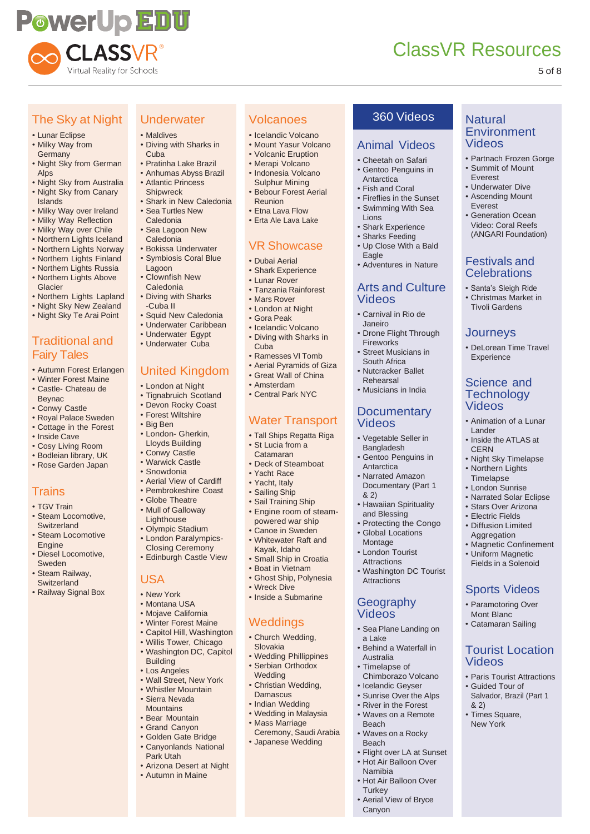

**Natural Environment** 

Videos

Animal Videos • Cheetah on Safari • Gentoo Penguins in **Antarctica** • Fish and Coral • Fireflies in the Sunset • Swimming With Sea

• Shark Experience • Sharks Feeding • Up Close With a Bald

• Adventures in Nature

Arts and Culture

• Carnival in Rio de Janeiro

• Drone Flight Through

**Documentary** 

• Vegetable Seller in Bangladesh Gentoo Penguins in

• Hawaiian Spirituality and Blessing • Protecting the Congo • Global Locations Montage • London Tourist **Attractions** 

• Washington DC Tourist

• Sea Plane Landing on

Behind a Waterfall in

**Attractions** 

a Lake

Australia • Timelapse of Chimborazo Volcano • Icelandic Geyser • Sunrise Over the Alps • River in the Forest • Waves on a Remote

Beach

Beach

Namibia

**Turkey** 

Canyon

• Waves on a Rocky

• Flight over LA at Sunset • Hot Air Balloon Over

• Hot Air Balloon Over

• Aerial View of Bryce

**Geography** Videos

Lions

Eagle

Videos

**Fireworks** • Street Musicians in South Africa • Nutcracker Ballet Rehearsal • Musicians in India

Videos

**Antarctica** • Narrated Amazon Documentary (Part 1

& 2)

• Partnach Frozen Gorge • Summit of Mount Everest • Underwater Dive • Ascending Mount Everest • Generation Ocean Video: Coral Reefs (ANGARI Foundation)

Festivals and **Celebrations** • Santa's Sleigh Ride • Christmas Market in Tivoli Gardens

**Journeys** 

• DeLorean Time Travel Experience

Science and **Technology** Videos

• Animation of a Lunar

• Inside the ATLAS at

• Night Sky Timelapse • Northern Lights Timelapse • London Sunrise • Narrated Solar Eclipse • Stars Over Arizona • Electric Fields • Diffusion Limited **Aggregation** • Magnetic Confinement • Uniform Magnetic Fields in a Solenoid

Sports Videos • Paramotoring Over Mont Blanc • Catamaran Sailing

Tourist Location

• Paris Tourist Attractions • Guided Tour of Salvador, Brazil (Part 1

Videos

& 2) • Times Square, New York

Lander

**CERN** 

#### 5 of 8

## The Sky at Night

#### • Lunar Eclipse

- Milky Way from Germany
- Night Sky from German Alps
- Night Sky from Australia • Night Sky from Canary **Islands**
- Milky Way over Ireland
- Milky Way Reflection
- Milky Way over Chile
- Northern Lights Iceland
- Northern Lights Norway
- Northern Lights Finland
- Northern Lights Russia
- Northern Lights Above Glacier
- Northern Lights Lapland
- Night Sky New Zealand
- Night Sky Te Arai Point

# Traditional and

### Fairy Tales

- Autumn Forest Erlangen
- Winter Forest Maine • Castle- Chateau de Beynac
- Conwy Castle
- Royal Palace Sweden
- Cottage in the Forest
- Inside Cave
- Cosy Living Room
- Bodleian library, UK
- Rose Garden Japan

#### **Trains**

- TGV Train
- Steam Locomotive, **Switzerland** • Steam Locomotive
- Engine • Diesel Locomotive,
- Sweden • Steam Railway,
- Switzerland • Railway Signal Box

• Maldives • Diving with Sharks in **Cuba** 

**Underwater** 

- Pratinha Lake Brazil • Anhumas Abyss Brazil
- Atlantic Princess
- Shipwreck
- Shark in New Caledonia • Sea Turtles New
- Caledonia
- Sea Lagoon New Caledonia • Bokissa Underwater
- Symbiosis Coral Blue Lagoon
- Clownfish New Caledonia
- Diving with Sharks -Cuba II
- Squid New Caledonia
- Underwater Caribbean
- Underwater Egypt
- Underwater Cuba

### United Kingdom

- London at Night
- Tignabruich Scotland
- Devon Rocky Coast
- Forest Wiltshire
- Big Ben
- London- Gherkin, Lloyds Building
- Conwy Castle
- Warwick Castle • Snowdonia
- Aerial View of Cardiff
- Pembrokeshire Coast
- Globe Theatre
- Mull of Galloway
- Lighthouse
- Olympic Stadium
- London Paralympics-Closing Ceremony • Edinburgh Castle View
- 

#### USA

- New York
- Montana USA
- Mojave California
- Winter Forest Maine
- Capitol Hill, Washington
- Willis Tower, Chicago
- Washington DC, Capitol
- Building • Los Angeles
- Wall Street, New York
- Whistler Mountain
- Sierra Nevada **Mountains**
- Bear Mountain
- Grand Canyon
- Golden Gate Bridge
- Canyonlands National Park Utah
- Arizona Desert at Night
- Autumn in Maine

# Volcanoes 360 Videos

- Icelandic Volcano
- Mount Yasur Volcano
- Volcanic Eruption
- Merapi Volcano • Indonesia Volcano Sulphur Mining
- Bebour Forest Aerial Reunion
- Etna Lava Flow
- Erta Ale Lava Lake

### VR Showcase

- Dubai Aerial
- Shark Experience
- Lunar Rover
- Tanzania Rainforest

• Icelandic Volcano • Diving with Sharks in

• Ramesses VI Tomb • Aerial Pyramids of Giza • Great Wall of China • Amsterdam • Central Park NYC

Water Transport • Tall Ships Regatta Riga • St Lucia from a Catamaran • Deck of Steamboat • Yacht Race • Yacht, Italy • Sailing Ship • Sail Training Ship • Engine room of steampowered war ship Canoe in Sweden • Whitewater Raft and Kayak, Idaho Small Ship in Croatia Boat in Vietnam • Ghost Ship, Polynesia

• Wreck Dive • Inside a Submarine

**Weddings** • Church Wedding, Slovakia

• Wedding Phillippines • Serbian Orthodox **Wedding** 

Christian Wedding, **Damascus** • Indian Wedding • Wedding in Malaysia • Mass Marriage

Ceremony, Saudi Arabia • Japanese Wedding

- Mars Rover • London at Night
- Gora Peak

Cuba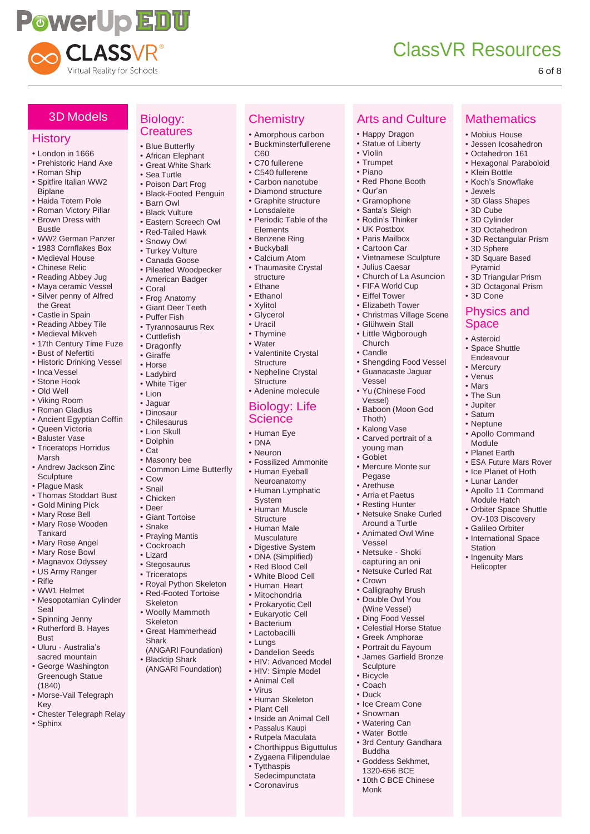

Arts and Culture

• Happy Dragon • Statue of Liberty

• Red Phone Booth

• Shengding Food Vessel • Guanacaste Jaguar

• Baboon (Moon God

• Mercure Monte sur Pegase • Arethuse • Arria et Paetus • Resting Hunter • Netsuke Snake Curled Around a Turtle • Animated Owl Wine

Vessel • Yu (Chinese Food Vessel)

Thoth) • Kalong Vase • Carved portrait of a young man • Goblet

Vessel • Netsuke - Shoki capturing an oni • Netsuke Curled Rat

• Crown

**Sculpture** • Bicycle • Coach • Duck

Buddha

Monk

• Ice Cream Cone • Snowman • Watering Can • Water Bottle • 3rd Century Gandhara

• Goddess Sekhmet, 1320-656 BCE 10th C BCE Chinese

• Calligraphy Brush • Double Owl You (Wine Vessel) • Ding Food Vessel • Celestial Horse Statue • Greek Amphorae • Portrait du Fayoum • James Garfield Bronze

• Violin • Trumpet • Piano

**Chemistry** • Amorphous carbon • Buckminsterfullerene

• Valentinite Crystal **Structure** • Nepheline Crystal **Structure** • Adenine molecule Biology: Life Science • Human Eye • DNA • Neuron

• Fossilized Ammonite • Human Eyeball Neuroanatomy • Human Lymphatic

System • Human Muscle **Structure** • Human Male Musculature • Digestive System DNA (Simplified) • Red Blood Cell • White Blood Cell • Human Heart • Mitochondria • Prokaryotic Cell • Eukaryotic Cell • Bacterium • Lactobacilli • Lungs

• Dandelion Seeds • HIV: Advanced Model • HIV: Simple Model

• Human Skeleton • Plant Cell

• Tytthaspis **Sedecimpunctata** • Coronavirus

• Inside an Animal Cell • Passalus Kaupi • Rutpela Maculata • Chorthippus Biguttulus • Zygaena Filipendulae

C<sub>60</sub> • C70 fullerene • C540 fullerene • Carbon nanotube • Diamond structure Graphite structure • Lonsdaleite • Periodic Table of the Elements • Benzene Ring • Buckyball • Calcium Atom • Thaumasite Crystal structure • Ethane • Ethanol • Xylitol • Glycerol • Uracil • Thymine • Water

• Qur'an • Gramophone • Santa's Sleigh • Rodin's Thinker • UK Postbox • Paris Mailbox • Cartoon Car • Vietnamese Sculpture • Julius Caesar • Church of La Asuncion • FIFA World Cup • Eiffel Tower • Elizabeth Tower • Christmas Village Scene • Glühwein Stall • Little Wigborough Church • Candle

**Mathematics** • Mobius House • Jessen Icosahedron • Octahedron 161 • Hexagonal Paraboloid

• Klein Bottle • Koch's Snowflake

• 3D Sphere • 3D Square Based Pyramid

• 3D Cone

• 3D Triangular Prism • 3D Octagonal Prism

Physics and Space • Asteroid • Space Shuttle Endeavour • Mercury • Venus • Mars • The Sun • Jupiter • Saturn • Neptune • Apollo Command Module • Planet Earth

• ESA Future Mars Rover • Ice Planet of Hoth • Lunar Lander • Apollo 11 Command Module Hatch • Orbiter Space Shuttle OV-103 Discovery • Galileo Orbiter • International Space

**Station** • Ingenuity Mars Helicopter

• Jewels • 3D Glass Shapes • 3D Cube • 3D Cylinder • 3D Octahedron • 3D Rectangular Prism

#### 6 of 8

#### 3D Models

#### **History**

- London in 1666
- Prehistoric Hand Axe
- Roman Ship • Spitfire Italian WW2
- Biplane • Haida Totem Pole
- Roman Victory Pillar
- Brown Dress with Bustle
- WW2 German Panzer • 1983 Cornflakes Box
- Medieval House
- Chinese Relic
- Reading Abbey Jug
- Maya ceramic Vessel • Silver penny of Alfred
- the Great • Castle in Spain
- 
- Reading Abbey Tile • Medieval Mikveh
- 17th Century Time Fuze
- Bust of Nefertiti
- Historic Drinking Vessel
- Inca Vessel
- Stone Hook
- Old Well
- Viking Room
- Roman Gladius
- Ancient Egyptian Coffin
- Queen Victoria
- Baluster Vase
- Triceratops Horridus Marsh
- Andrew Jackson Zinc **Sculpture**
- Plague Mask
- Thomas Stoddart Bust
- Gold Mining Pick
- Mary Rose Bell • Mary Rose Wooden
- **Tankard** • Mary Rose Angel
- Mary Rose Bowl
- Magnavox Odyssey
- US Army Ranger
- Rifle
- WW1 Helmet
- Mesopotamian Cylinder Seal
- Spinning Jenny
- Rutherford B. Hayes **Bust**
- Uluru Australia's sacred mountain
- George Washington Greenough Statue (1840)
- Morse-Vail Telegraph Key
- Chester Telegraph Relay
- Sphinx

#### Biology: **Creatures**

- Blue Butterfly • African Elephant
- Great White Shark
- Sea Turtle
- Poison Dart Frog
- Black-Footed Penguin
- Barn Owl
- Black Vulture
- Eastern Screech Owl • Red-Tailed Hawk
- 
- Snowy Owl
- Turkey Vulture
- Canada Goose • Pileated Woodpecker
- American Badger
- Coral
- Frog Anatomy
- Giant Deer Teeth
- Puffer Fish
- Tyrannosaurus Rex
- Cuttlefish
- Dragonfly
- Giraffe • Horse
- Ladybird
- White Tiger
- Lion
- Jaguar
- Dinosaur
- Chilesaurus
- Lion Skull
- Dolphin
- Cat
- Masonry bee
- Common Lime Butterfly
- Cow • Snail
- 
- Chicken • Deer
- Giant Tortoise
- Snake
- Praying Mantis
- Cockroach
- Lizard
- Stegosaurus
- Triceratops
- Royal Python Skeleton
- Red-Footed Tortoise Skeleton
- Woolly Mammoth Skeleton
- Great Hammerhead Shark
- (ANGARI Foundation) • Blacktip Shark
- (ANGARI Foundation)
	- Animal Cell • Virus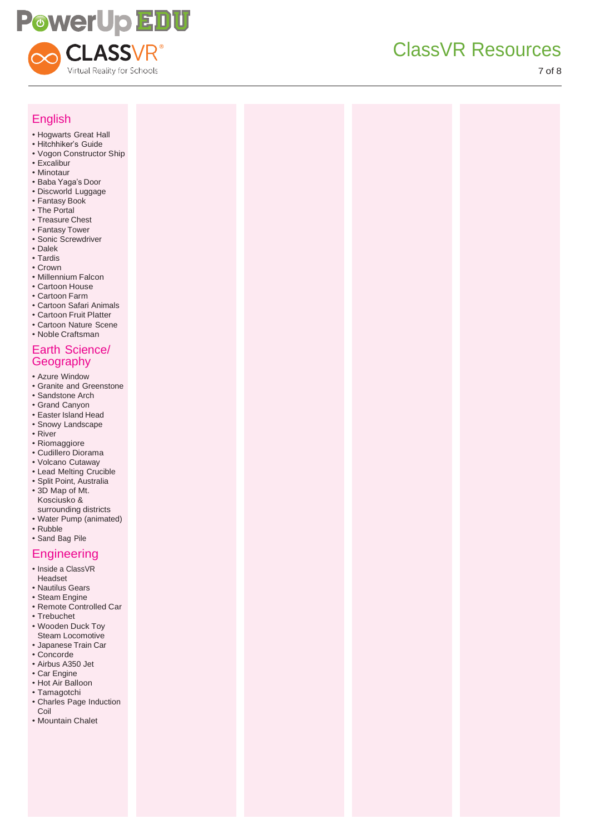

7 of 8

| <b>English</b>                                                                                                                                                                                                                                                                                                                                                                                                                                          |  |  |
|---------------------------------------------------------------------------------------------------------------------------------------------------------------------------------------------------------------------------------------------------------------------------------------------------------------------------------------------------------------------------------------------------------------------------------------------------------|--|--|
| • Hogwarts Great Hall<br>· Hitchhiker's Guide<br>• Vogon Constructor Ship<br>· Excalibur<br>• Minotaur<br>· Baba Yaga's Door<br>· Discworld Luggage<br>• Fantasy Book<br>• The Portal<br>• Treasure Chest<br>• Fantasy Tower<br>· Sonic Screwdriver<br>• Dalek<br>• Tardis<br>• Crown<br>· Millennium Falcon<br>• Cartoon House<br>• Cartoon Farm<br>• Cartoon Safari Animals<br>• Cartoon Fruit Platter<br>• Cartoon Nature Scene<br>• Noble Craftsman |  |  |
| Earth Science/<br>Geography                                                                                                                                                                                                                                                                                                                                                                                                                             |  |  |
| • Azure Window<br>· Granite and Greenstone<br>· Sandstone Arch<br>• Grand Canyon<br>• Easter Island Head<br>· Snowy Landscape<br>• River<br>· Riomaggiore<br>· Cudillero Diorama<br>• Volcano Cutaway<br>• Lead Melting Crucible<br>· Split Point, Australia<br>• 3D Map of Mt.<br>Kosciusko &<br>surrounding districts<br>• Water Pump (animated)<br>• Rubble<br>· Sand Bag Pile                                                                       |  |  |
| <b>Engineering</b><br>· Inside a ClassVR<br>Headset<br>• Nautilus Gears<br>· Steam Engine<br>· Remote Controlled Car<br>• Trebuchet<br>• Wooden Duck Toy<br>Steam Locomotive<br>· Japanese Train Car<br>• Concorde<br>• Airbus A350 Jet<br>• Car Engine<br>• Hot Air Balloon<br>· Tamagotchi<br>• Charles Page Induction<br>Coil<br>• Mountain Chalet                                                                                                   |  |  |
|                                                                                                                                                                                                                                                                                                                                                                                                                                                         |  |  |